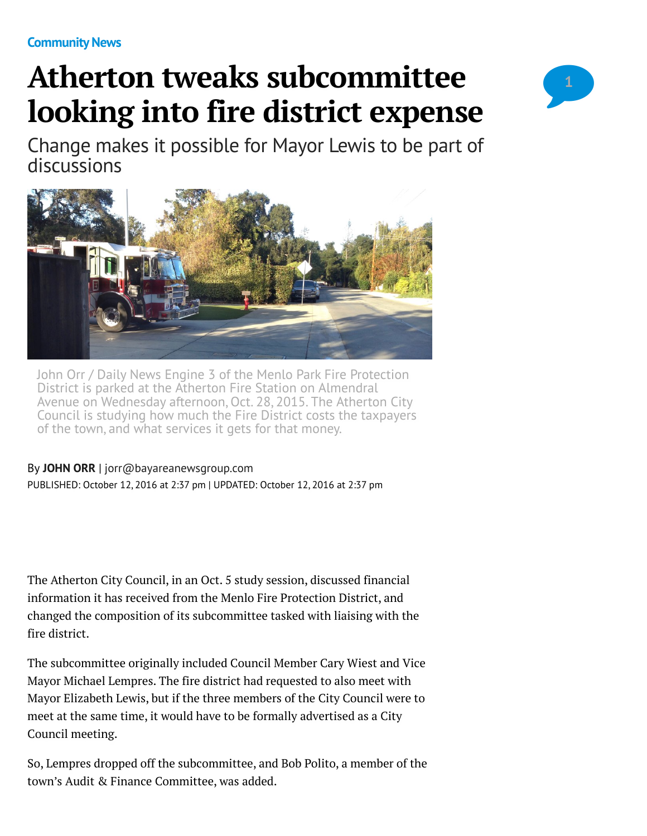# **Atherton tweaks subcommittee looking into fire district expense**



Change makes it possible for Mayor Lewis to be part of discussions



John Orr / Daily News Engine 3 of the Menlo Park Fire Protection District is parked at the Atherton Fire Station on Almendral Avenue on Wednesday afternoon, Oct. 28, 2015. The Atherton City Council is studying how much the Fire District costs the taxpayers of the town, and what services it gets for that money.

By **[JOHN ORR](http://www.mercurynews.com/author/john-orr/)** | [jorr@bayareanewsgroup.com](mailto:jorr@bayareanewsgroup.com) PUBLISHED: October 12, 2016 at 2:37 pm | UPDATED: October 12, 2016 at 2:37 pm

The Atherton City Council, in an Oct. 5 study session, discussed financial information it has received from the Menlo Fire Protection District, and changed the composition of its subcommittee tasked with liaising with the fire district.

The subcommittee originally included Council Member Cary Wiest and Vice Mayor Michael Lempres. The fire district had requested to also meet with Mayor Elizabeth Lewis, but if the three members of the City Council were to meet at the same time, it would have to be formally advertised as a City Council meeting.

So, Lempres dropped off the subcommittee, and Bob Polito, a member of the town's Audit & Finance Committee, was added.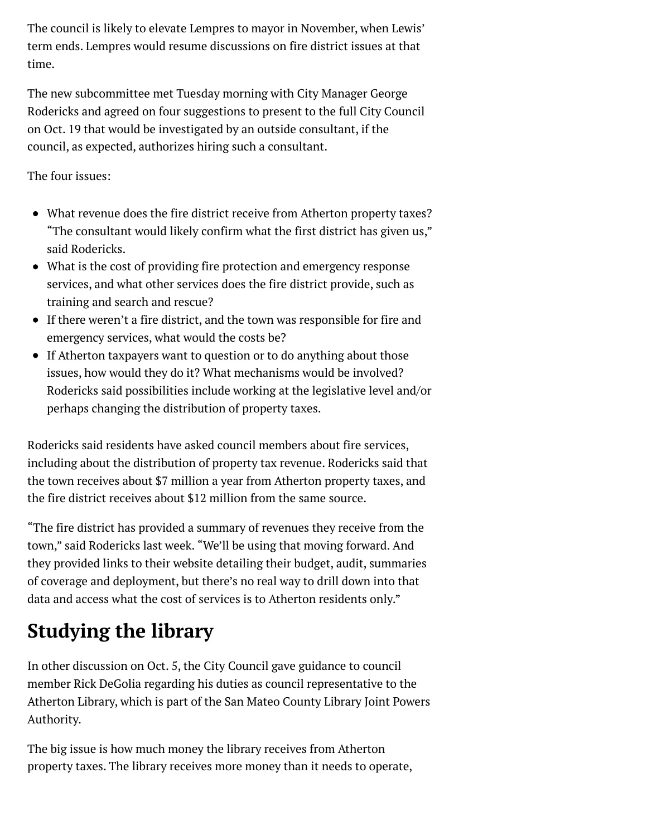The council is likely to elevate Lempres to mayor in November, when Lewis' term ends. Lempres would resume discussions on fire district issues at that time.

The new subcommittee met Tuesday morning with City Manager George Rodericks and agreed on four suggestions to present to the full City Council on Oct. 19 that would be investigated by an outside consultant, if the council, as expected, authorizes hiring such a consultant.

The four issues:

- What revenue does the fire district receive from Atherton property taxes? "The consultant would likely confirm what the first district has given us," said Rodericks.
- What is the cost of providing fire protection and emergency response services, and what other services does the fire district provide, such as training and search and rescue?
- If there weren't a fire district, and the town was responsible for fire and emergency services, what would the costs be?
- If Atherton taxpayers want to question or to do anything about those issues, how would they do it? What mechanisms would be involved? Rodericks said possibilities include working at the legislative level and/or perhaps changing the distribution of property taxes.

Rodericks said residents have asked council members about fire services, including about the distribution of property tax revenue. Rodericks said that the town receives about \$7 million a year from Atherton property taxes, and the fire district receives about \$12 million from the same source.

"The fire district has provided a summary of revenues they receive from the town," said Rodericks last week. "We'll be using that moving forward. And they provided links to their website detailing their budget, audit, summaries of coverage and deployment, but there's no real way to drill down into that data and access what the cost of services is to Atherton residents only."

## **Studying the library**

In other discussion on Oct. 5, the City Council gave guidance to council member Rick DeGolia regarding his duties as council representative to the Atherton Library, which is part of the San Mateo County Library Joint Powers Authority.

The big issue is how much money the library receives from Atherton property taxes. The library receives more money than it needs to operate,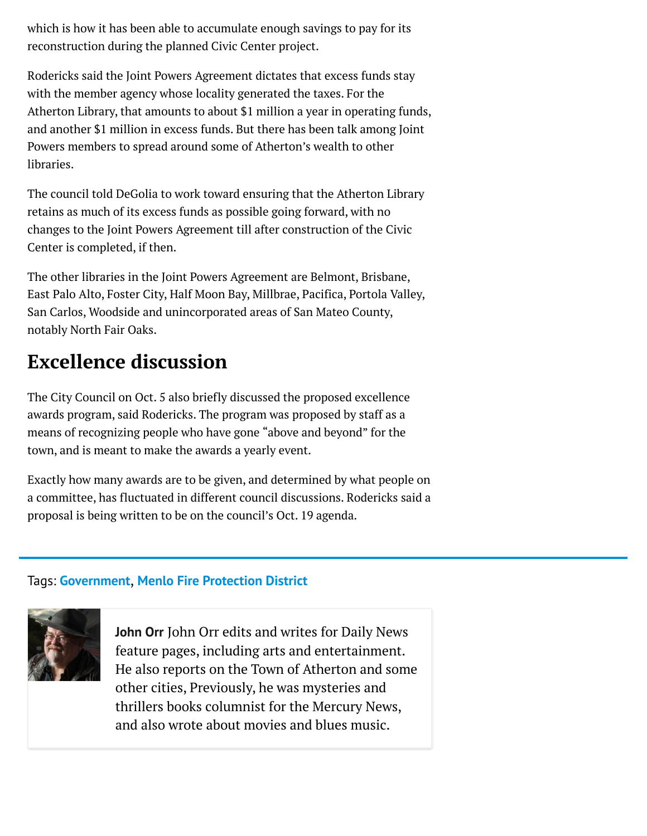which is how it has been able to accumulate enough savings to pay for its reconstruction during the planned Civic Center project.

Rodericks said the Joint Powers Agreement dictates that excess funds stay with the member agency whose locality generated the taxes. For the Atherton Library, that amounts to about \$1 million a year in operating funds, and another \$1 million in excess funds. But there has been talk among Joint Powers members to spread around some of Atherton's wealth to other libraries.

The council told DeGolia to work toward ensuring that the Atherton Library retains as much of its excess funds as possible going forward, with no changes to the Joint Powers Agreement till after construction of the Civic Center is completed, if then.

The other libraries in the Joint Powers Agreement are Belmont, Brisbane, East Palo Alto, Foster City, Half Moon Bay, Millbrae, Pacifica, Portola Valley, San Carlos, Woodside and unincorporated areas of San Mateo County, notably North Fair Oaks.

### **Excellence discussion**

The City Council on Oct. 5 also briefly discussed the proposed excellence awards program, said Rodericks. The program was proposed by staff as a means of recognizing people who have gone "above and beyond" for the town, and is meant to make the awards a yearly event.

Exactly how many awards are to be given, and determined by what people on a committee, has fluctuated in different council discussions. Rodericks said a proposal is being written to be on the council's Oct. 19 agenda.

#### Tags: **[Government](http://www.mercurynews.com/tag/government/)**, **[Menlo Fire Protection District](http://www.mercurynews.com/tag/menlo-fire-protection-district/)**



**[John Orr](http://www.mercurynews.com/author/john-orr/)** John Orr edits and writes for Daily News feature pages, including arts and entertainment. He also reports on the Town of Atherton and some other cities, Previously, he was mysteries and thrillers books columnist for the Mercury News, and also wrote about movies and blues music.